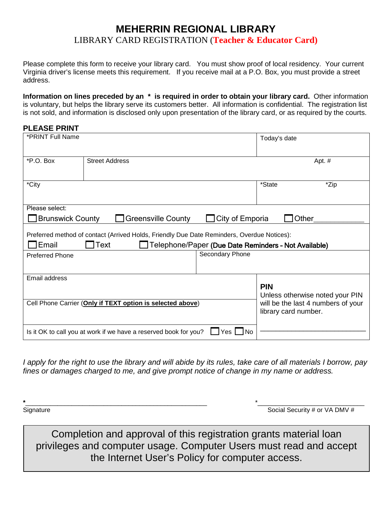## **MEHERRIN REGIONAL LIBRARY** LIBRARY CARD REGISTRATION (**Teacher & Educator Card)**

Please complete this form to receive your library card. You must show proof of local residency. Your current Virginia driver's license meets this requirement. If you receive mail at a P.O. Box, you must provide a street address.

**Information on lines preceded by an \* is required in order to obtain your library card.** Other information is voluntary, but helps the library serve its customers better. All information is confidential. The registration list is not sold, and information is disclosed only upon presentation of the library card, or as required by the courts.

## **PLEASE PRINT**

| *PRINT Full Name                                                                                                                                                    |                       |                 | Today's date                                                                                                |      |
|---------------------------------------------------------------------------------------------------------------------------------------------------------------------|-----------------------|-----------------|-------------------------------------------------------------------------------------------------------------|------|
| $*P.O. Box$                                                                                                                                                         | <b>Street Address</b> |                 | Apt. #                                                                                                      |      |
| *City                                                                                                                                                               |                       |                 | *State                                                                                                      | *Zip |
| Please select:<br>City of Emporia<br><b>Greensville County</b><br><b>Brunswick County</b><br>Other                                                                  |                       |                 |                                                                                                             |      |
| Preferred method of contact (Arrived Holds, Friendly Due Date Reminders, Overdue Notices):<br>Email<br>Text<br>Telephone/Paper (Due Date Reminders - Not Available) |                       |                 |                                                                                                             |      |
| <b>Preferred Phone</b>                                                                                                                                              |                       | Secondary Phone |                                                                                                             |      |
| Email address                                                                                                                                                       |                       |                 | <b>PIN</b><br>Unless otherwise noted your PIN<br>will be the last 4 numbers of your<br>library card number. |      |
| Cell Phone Carrier (Only if TEXT option is selected above)                                                                                                          |                       |                 |                                                                                                             |      |
| Is it OK to call you at work if we have a reserved book for you?<br>$\blacksquare$ No<br>Yes I                                                                      |                       |                 |                                                                                                             |      |

*I apply for the right to use the library and will abide by its rules, take care of all materials I borrow, pay fines or damages charged to me, and give prompt notice of change in my name or address.*

**\***\_\_\_\_\_\_\_\_\_\_\_\_\_\_\_\_\_\_\_\_\_\_\_\_\_\_\_\_\_\_\_\_\_\_\_\_\_\_\_\_\_\_\_\_\_\_\_\_\_\_\_ \*\_\_\_\_\_\_\_\_\_\_\_\_\_\_\_\_\_\_\_\_\_\_\_\_\_\_\_\_\_\_

Signature Superintendent Security # or VA DMV # Social Security # or VA DMV #

Completion and approval of this registration grants material loan privileges and computer usage. Computer Users must read and accept the Internet User's Policy for computer access.